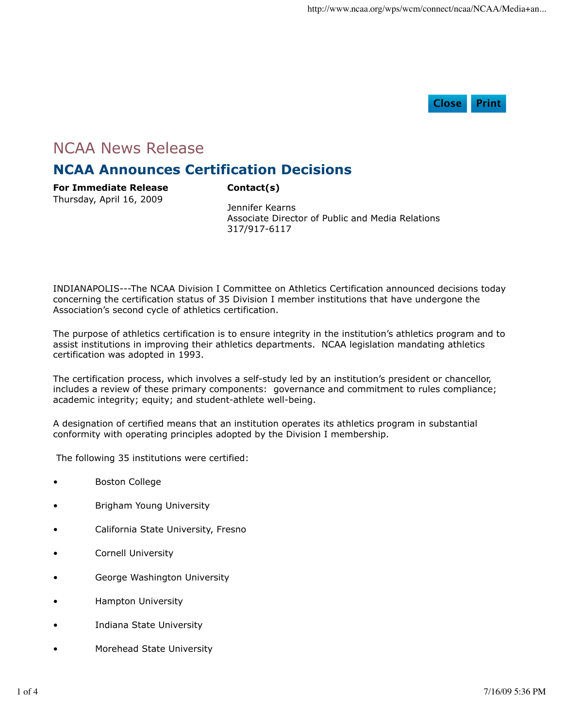

## NCAA News Release

## **NCAA Announces Certification Decisions**

**For Immediate Release** Thursday, April 16, 2009

**Contact(s)**

Jennifer Kearns Associate Director of Public and Media Relations 317/917-6117

INDIANAPOLIS---The NCAA Division I Committee on Athletics Certification announced decisions today concerning the certification status of 35 Division I member institutions that have undergone the Association's second cycle of athletics certification.

The purpose of athletics certification is to ensure integrity in the institution's athletics program and to assist institutions in improving their athletics departments. NCAA legislation mandating athletics certification was adopted in 1993.

The certification process, which involves a self-study led by an institution's president or chancellor, includes a review of these primary components: governance and commitment to rules compliance; academic integrity; equity; and student-athlete well-being.

A designation of certified means that an institution operates its athletics program in substantial conformity with operating principles adopted by the Division I membership.

The following 35 institutions were certified:

- Boston College
- Brigham Young University
- California State University, Fresno
- Cornell University
- George Washington University
- Hampton University
- Indiana State University
- Morehead State University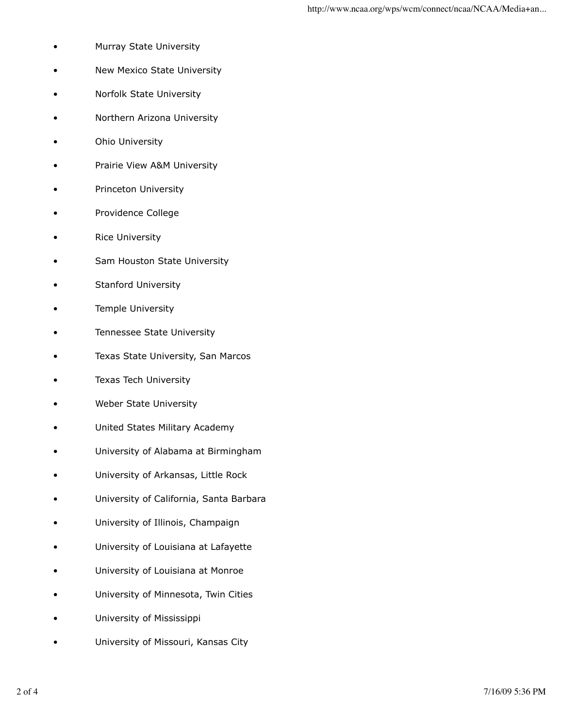- Murray State University
- New Mexico State University
- Norfolk State University
- Northern Arizona University
- Ohio University
- Prairie View A&M University
- Princeton University
- Providence College
- Rice University
- Sam Houston State University
- Stanford University
- Temple University
- Tennessee State University
- Texas State University, San Marcos
- Texas Tech University
- Weber State University
- United States Military Academy
- University of Alabama at Birmingham
- University of Arkansas, Little Rock
- University of California, Santa Barbara
- University of Illinois, Champaign
- University of Louisiana at Lafayette
- University of Louisiana at Monroe
- University of Minnesota, Twin Cities
- University of Mississippi
- University of Missouri, Kansas City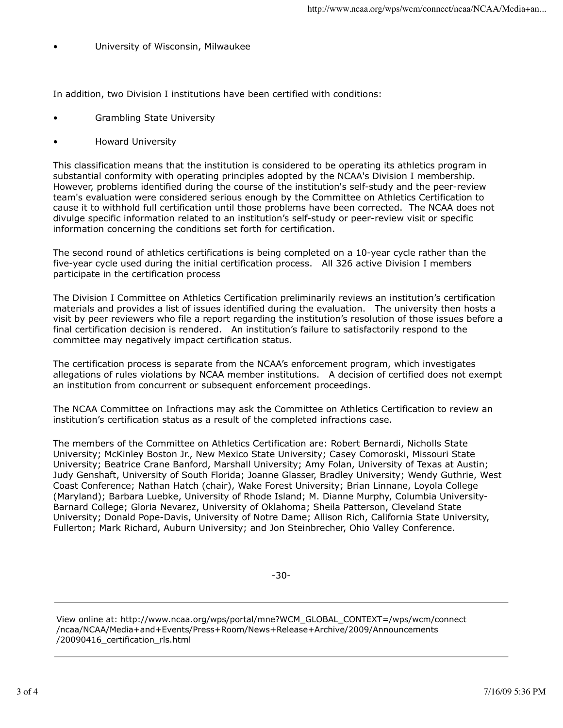• University of Wisconsin, Milwaukee

In addition, two Division I institutions have been certified with conditions:

- Grambling State University
- Howard University

This classification means that the institution is considered to be operating its athletics program in substantial conformity with operating principles adopted by the NCAA's Division I membership. However, problems identified during the course of the institution's self-study and the peer-review team's evaluation were considered serious enough by the Committee on Athletics Certification to cause it to withhold full certification until those problems have been corrected. The NCAA does not divulge specific information related to an institution's self-study or peer-review visit or specific information concerning the conditions set forth for certification.

The second round of athletics certifications is being completed on a 10-year cycle rather than the five-year cycle used during the initial certification process. All 326 active Division I members participate in the certification process

The Division I Committee on Athletics Certification preliminarily reviews an institution's certification materials and provides a list of issues identified during the evaluation. The university then hosts a visit by peer reviewers who file a report regarding the institution's resolution of those issues before a final certification decision is rendered. An institution's failure to satisfactorily respond to the committee may negatively impact certification status.

The certification process is separate from the NCAA's enforcement program, which investigates allegations of rules violations by NCAA member institutions. A decision of certified does not exempt an institution from concurrent or subsequent enforcement proceedings.

The NCAA Committee on Infractions may ask the Committee on Athletics Certification to review an institution's certification status as a result of the completed infractions case.

The members of the Committee on Athletics Certification are: Robert Bernardi, Nicholls State University; McKinley Boston Jr., New Mexico State University; Casey Comoroski, Missouri State University; Beatrice Crane Banford, Marshall University; Amy Folan, University of Texas at Austin; Judy Genshaft, University of South Florida; Joanne Glasser, Bradley University; Wendy Guthrie, West Coast Conference; Nathan Hatch (chair), Wake Forest University; Brian Linnane, Loyola College (Maryland); Barbara Luebke, University of Rhode Island; M. Dianne Murphy, Columbia University-Barnard College; Gloria Nevarez, University of Oklahoma; Sheila Patterson, Cleveland State University; Donald Pope-Davis, University of Notre Dame; Allison Rich, California State University, Fullerton; Mark Richard, Auburn University; and Jon Steinbrecher, Ohio Valley Conference.

-30-

View online at: http://www.ncaa.org/wps/portal/mne?WCM\_GLOBAL\_CONTEXT=/wps/wcm/connect /ncaa/NCAA/Media+and+Events/Press+Room/News+Release+Archive/2009/Announcements /20090416\_certification\_rls.html